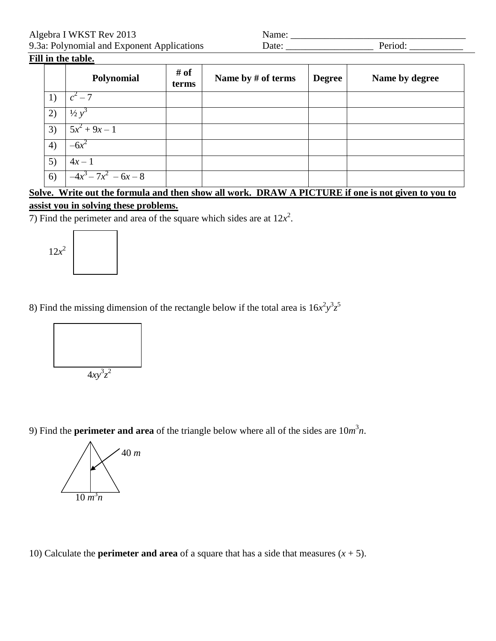Algebra I WKST Rev 2013<br>
9.3a: Polynomial and Exponent Applications Date: Period: Period:

| 9.3a: Polynomial and Exponent Applications | Date | eriod |
|--------------------------------------------|------|-------|
|--------------------------------------------|------|-------|

## **Fill in the table.**

|                   | Polynomial              | # of<br>terms | Name by # of terms | <b>Degree</b> | Name by degree |
|-------------------|-------------------------|---------------|--------------------|---------------|----------------|
|                   | $c^2-7$                 |               |                    |               |                |
| 2)                | $\frac{1}{2} y^2$       |               |                    |               |                |
| 3)                | $5x^2 + 9x - 1$         |               |                    |               |                |
| $\left( 4\right)$ | $-6x^2$                 |               |                    |               |                |
| 5)                | $4x - 1$                |               |                    |               |                |
| 6)                | $-4x^3 - 7x^2 - 6x - 8$ |               |                    |               |                |

## **Solve. Write out the formula and then show all work. DRAW A PICTURE if one is not given to you to assist you in solving these problems.**

7) Find the perimeter and area of the square which sides are at  $12x^2$ .



## 8) Find the missing dimension of the rectangle below if the total area is  $16x^2y^3z^5$



9) Find the **perimeter and area** of the triangle below where all of the sides are  $10m^3n$ .



10) Calculate the **perimeter and area** of a square that has a side that measures  $(x + 5)$ .